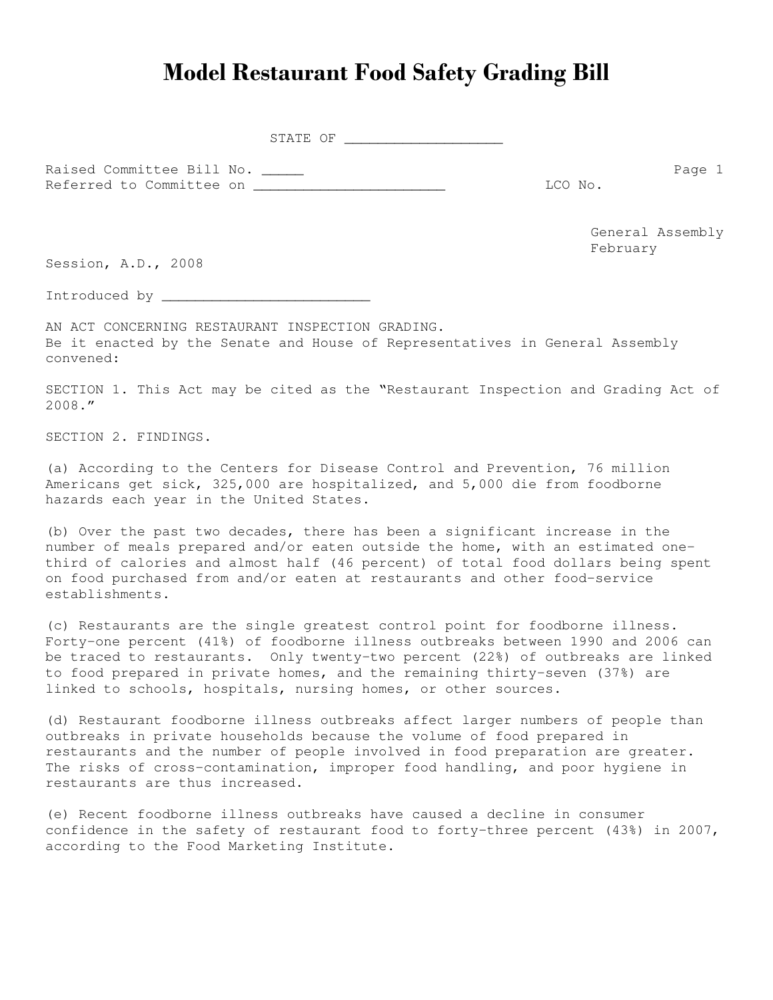## Model Restaurant Food Safety Grading Bill

STATE OF \_\_\_\_\_\_\_\_\_\_\_\_\_\_\_\_\_\_\_

Raised Committee Bill No. \_\_\_\_\_\_ Page 1 Referred to Committee on \_\_\_\_\_\_\_\_\_\_\_\_\_\_\_\_\_\_\_\_\_\_\_ LCO No.

General Assembly February

Session, A.D., 2008

Introduced by \_\_\_\_\_\_\_\_\_\_\_\_\_\_\_\_\_\_\_\_\_\_\_\_\_

AN ACT CONCERNING RESTAURANT INSPECTION GRADING. Be it enacted by the Senate and House of Representatives in General Assembly convened:

SECTION 1. This Act may be cited as the "Restaurant Inspection and Grading Act of 2008."

SECTION 2. FINDINGS.

(a) According to the Centers for Disease Control and Prevention, 76 million Americans get sick, 325,000 are hospitalized, and 5,000 die from foodborne hazards each year in the United States.

(b) Over the past two decades, there has been a significant increase in the number of meals prepared and/or eaten outside the home, with an estimated onethird of calories and almost half (46 percent) of total food dollars being spent on food purchased from and/or eaten at restaurants and other food-service establishments.

(c) Restaurants are the single greatest control point for foodborne illness. Forty-one percent (41%) of foodborne illness outbreaks between 1990 and 2006 can be traced to restaurants. Only twenty-two percent (22%) of outbreaks are linked to food prepared in private homes, and the remaining thirty-seven (37%) are linked to schools, hospitals, nursing homes, or other sources.

(d) Restaurant foodborne illness outbreaks affect larger numbers of people than outbreaks in private households because the volume of food prepared in restaurants and the number of people involved in food preparation are greater. The risks of cross-contamination, improper food handling, and poor hygiene in restaurants are thus increased.

(e) Recent foodborne illness outbreaks have caused a decline in consumer confidence in the safety of restaurant food to forty-three percent (43%) in 2007, according to the Food Marketing Institute.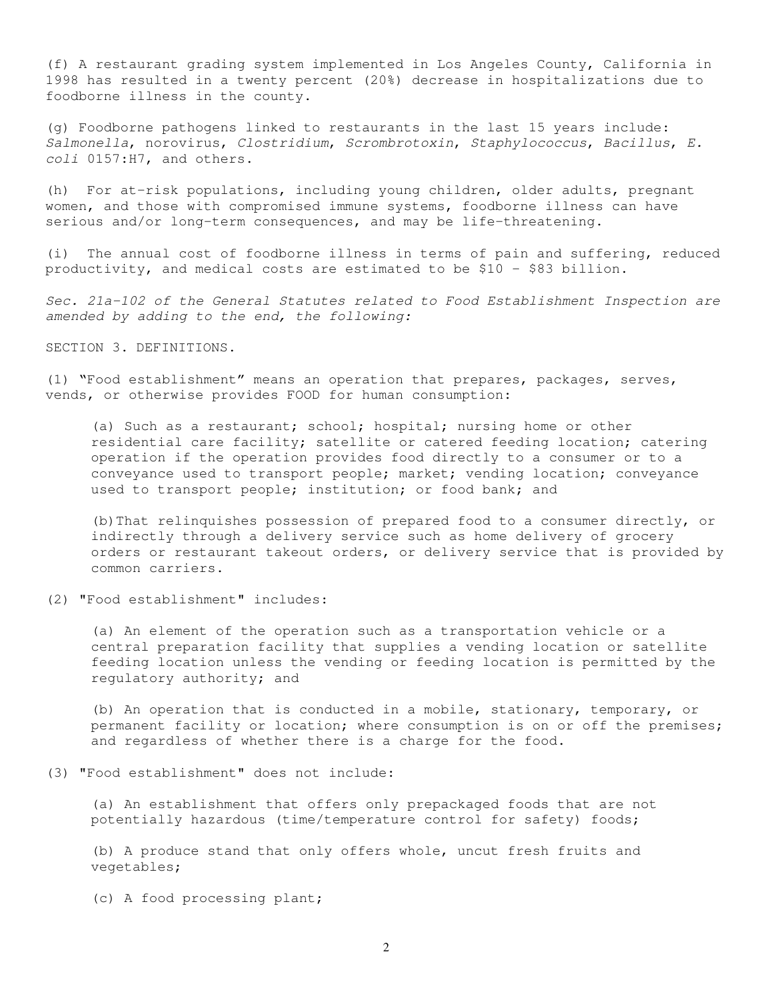(f) A restaurant grading system implemented in Los Angeles County, California in 1998 has resulted in a twenty percent (20%) decrease in hospitalizations due to foodborne illness in the county.

(g) Foodborne pathogens linked to restaurants in the last 15 years include: *Salmonella*, norovirus, *Clostridium*, *Scrombrotoxin*, *Staphylococcus*, *Bacillus*, *E. coli* 0157:H7, and others.

(h) For at-risk populations, including young children, older adults, pregnant women, and those with compromised immune systems, foodborne illness can have serious and/or long-term consequences, and may be life-threatening.

(i) The annual cost of foodborne illness in terms of pain and suffering, reduced productivity, and medical costs are estimated to be \$10 - \$83 billion.

*Sec. 21a-102 of the General Statutes related to Food Establishment Inspection are amended by adding to the end, the following:*

SECTION 3. DEFINITIONS.

(1) "Food establishment" means an operation that prepares, packages, serves, vends, or otherwise provides FOOD for human consumption:

(a) Such as a restaurant; school; hospital; nursing home or other residential care facility; satellite or catered feeding location; catering operation if the operation provides food directly to a consumer or to a conveyance used to transport people; market; vending location; conveyance used to transport people; institution; or food bank; and

(b)That relinquishes possession of prepared food to a consumer directly, or indirectly through a delivery service such as home delivery of grocery orders or restaurant takeout orders, or delivery service that is provided by common carriers.

(2) "Food establishment" includes:

(a) An element of the operation such as a transportation vehicle or a central preparation facility that supplies a vending location or satellite feeding location unless the vending or feeding location is permitted by the regulatory authority; and

(b) An operation that is conducted in a mobile, stationary, temporary, or permanent facility or location; where consumption is on or off the premises; and regardless of whether there is a charge for the food.

(3) "Food establishment" does not include:

(a) An establishment that offers only prepackaged foods that are not potentially hazardous (time/temperature control for safety) foods;

(b) A produce stand that only offers whole, uncut fresh fruits and vegetables;

(c) A food processing plant;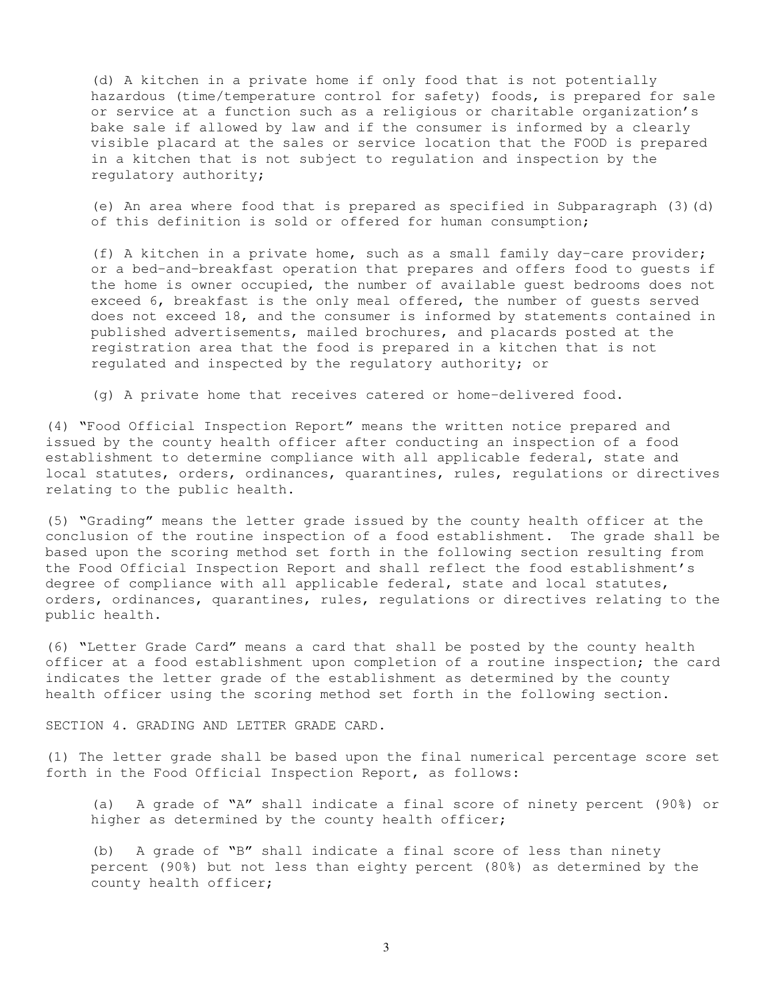(d) A kitchen in a private home if only food that is not potentially hazardous (time/temperature control for safety) foods, is prepared for sale or service at a function such as a religious or charitable organization's bake sale if allowed by law and if the consumer is informed by a clearly visible placard at the sales or service location that the FOOD is prepared in a kitchen that is not subject to regulation and inspection by the regulatory authority;

(e) An area where food that is prepared as specified in Subparagraph (3)(d) of this definition is sold or offered for human consumption;

(f) A kitchen in a private home, such as a small family day-care provider; or a bed-and-breakfast operation that prepares and offers food to guests if the home is owner occupied, the number of available guest bedrooms does not exceed 6, breakfast is the only meal offered, the number of guests served does not exceed 18, and the consumer is informed by statements contained in published advertisements, mailed brochures, and placards posted at the registration area that the food is prepared in a kitchen that is not regulated and inspected by the regulatory authority; or

(g) A private home that receives catered or home-delivered food.

(4) "Food Official Inspection Report" means the written notice prepared and issued by the county health officer after conducting an inspection of a food establishment to determine compliance with all applicable federal, state and local statutes, orders, ordinances, quarantines, rules, regulations or directives relating to the public health.

(5) "Grading" means the letter grade issued by the county health officer at the conclusion of the routine inspection of a food establishment. The grade shall be based upon the scoring method set forth in the following section resulting from the Food Official Inspection Report and shall reflect the food establishment's degree of compliance with all applicable federal, state and local statutes, orders, ordinances, quarantines, rules, regulations or directives relating to the public health.

(6) "Letter Grade Card" means a card that shall be posted by the county health officer at a food establishment upon completion of a routine inspection; the card indicates the letter grade of the establishment as determined by the county health officer using the scoring method set forth in the following section.

SECTION 4. GRADING AND LETTER GRADE CARD.

(1) The letter grade shall be based upon the final numerical percentage score set forth in the Food Official Inspection Report, as follows:

(a) A grade of "A" shall indicate a final score of ninety percent (90%) or higher as determined by the county health officer;

(b) A grade of "B" shall indicate a final score of less than ninety percent (90%) but not less than eighty percent (80%) as determined by the county health officer;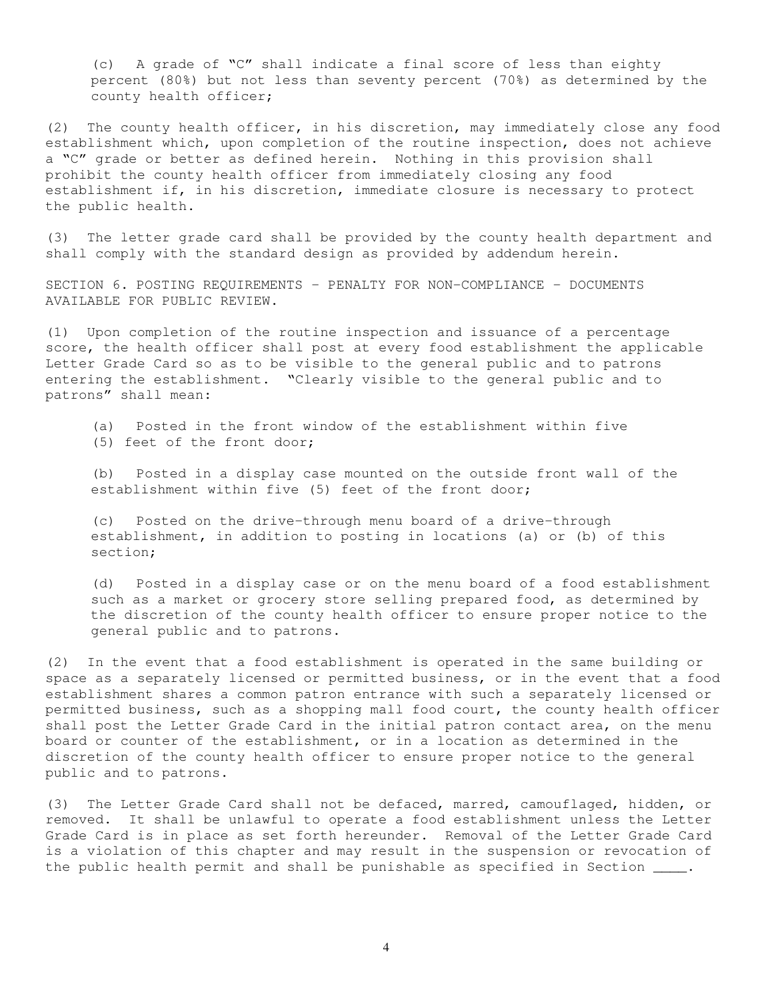(c) A grade of "C" shall indicate a final score of less than eighty percent (80%) but not less than seventy percent (70%) as determined by the county health officer;

(2) The county health officer, in his discretion, may immediately close any food establishment which, upon completion of the routine inspection, does not achieve a "C" grade or better as defined herein. Nothing in this provision shall prohibit the county health officer from immediately closing any food establishment if, in his discretion, immediate closure is necessary to protect the public health.

(3) The letter grade card shall be provided by the county health department and shall comply with the standard design as provided by addendum herein.

SECTION 6. POSTING REQUIREMENTS – PENALTY FOR NON-COMPLIANCE – DOCUMENTS AVAILABLE FOR PUBLIC REVIEW.

(1) Upon completion of the routine inspection and issuance of a percentage score, the health officer shall post at every food establishment the applicable Letter Grade Card so as to be visible to the general public and to patrons entering the establishment. "Clearly visible to the general public and to patrons" shall mean:

(a) Posted in the front window of the establishment within five (5) feet of the front door;

(b) Posted in a display case mounted on the outside front wall of the establishment within five (5) feet of the front door;

(c) Posted on the drive-through menu board of a drive-through establishment, in addition to posting in locations (a) or (b) of this section;

(d) Posted in a display case or on the menu board of a food establishment such as a market or grocery store selling prepared food, as determined by the discretion of the county health officer to ensure proper notice to the general public and to patrons.

(2) In the event that a food establishment is operated in the same building or space as a separately licensed or permitted business, or in the event that a food establishment shares a common patron entrance with such a separately licensed or permitted business, such as a shopping mall food court, the county health officer shall post the Letter Grade Card in the initial patron contact area, on the menu board or counter of the establishment, or in a location as determined in the discretion of the county health officer to ensure proper notice to the general public and to patrons.

(3) The Letter Grade Card shall not be defaced, marred, camouflaged, hidden, or removed. It shall be unlawful to operate a food establishment unless the Letter Grade Card is in place as set forth hereunder. Removal of the Letter Grade Card is a violation of this chapter and may result in the suspension or revocation of the public health permit and shall be punishable as specified in Section  $\_\_\_\$ .